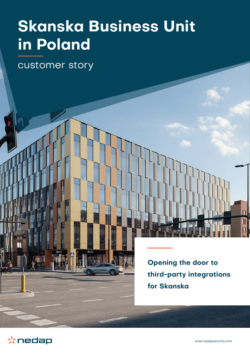# **Skanska Business Unit in Poland**

customer story

**Opening the door to third-party integrations for Skanska** 



 $\overline{\mathbf{u}}$ 

 $\mathbb{I}$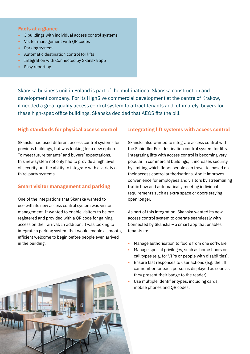#### **Facts at a glance**

- **•** 3 buildings with individual access control systems
- **•** Visitor management with QR codes
- **•** Parking system
- **•** Automatic destination control for lifts
- **•** Integration with Connected by Skanska app
- **•** Easy reporting

Skanska business unit in Poland is part of the multinational Skanska construction and development company. For its High5ive commercial development at the centre of Krakow, it needed a great quality access control system to attract tenants and, ultimately, buyers for these high-spec office buildings. Skanska decided that AEOS fits the bill.

# **High standards for physical access control**

Skanska had used different access control systems for previous buildings, but was looking for a new option. To meet future tenants' and buyers' expectations, this new system not only had to provide a high level of security but the ability to integrate with a variety of third-party systems.

## **Smart visitor management and parking**

One of the integrations that Skanska wanted to use with its new access control system was visitor management. It wanted to enable visitors to be preregistered and provided with a QR code for gaining access on their arrival. In addition, it was looking to integrate a parking system that would enable a smooth, efficient welcome to begin before people even arrived in the building.

## **Integrating lift systems with access control**

Skanska also wanted to integrate access control with the Schindler Port destination control system for lifts. Integrating lifts with access control is becoming very popular in commercial buildings; it increases security by limiting which floors people can travel to, based on their access control authorisations. And it improves convenience for employees and visitors by streamlining traffic flow and automatically meeting individual requirements such as extra space or doors staying open longer.

As part of this integration, Skanska wanted its new access control system to operate seamlessly with Connected by Skanska – a smart app that enables tenants to:

- **•** Manage authorisation to floors from one software.
- **•** Manage special privileges, such as home floors or call types (e.g. for VIPs or people with disabilities).
- **•** Ensure fast responses to user actions (e.g. the lift car number for each person is displayed as soon as they present their badge to the reader).
- **•** Use multiple identifier types, including cards, mobile phones and QR codes.

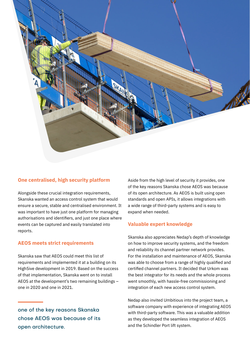

## **One centralised, high security platform**

Alongside these crucial integration requirements, Skanska wanted an access control system that would ensure a secure, stable and centralised environment. It was important to have just one platform for managing authorisations and identifiers, and just one place where events can be captured and easily translated into reports.

#### **AEOS meets strict requirements**

Skanska saw that AEOS could meet this list of requirements and implemented it at a building on its High5ive development in 2019. Based on the success of that implementation, Skanska went on to install AEOS at the development's two remaining buildings – one in 2020 and one in 2021.

one of the key reasons Skanska chose AEOS was because of its open architecture.

Aside from the high level of security it provides, one of the key reasons Skanska chose AEOS was because of its open architecture. As AEOS is built using open standards and open APIs, it allows integrations with a wide range of third-party systems and is easy to expand when needed.

#### **Valuable expert knowledge**

Skanska also appreciates Nedap's depth of knowledge on how to improve security systems, and the freedom and reliability its channel partner network provides. For the installation and maintenance of AEOS, Skanska was able to choose from a range of highly qualified and certified channel partners. It decided that Urkom was the best integrator for its needs and the whole process went smoothly, with hassle-free commissioning and integration of each new access control system.

Nedap also invited Umbitious into the project team, a software company with experience of integrating AEOS with third-party software. This was a valuable addition as they developed the seamless integration of AEOS and the Schindler Port lift system.